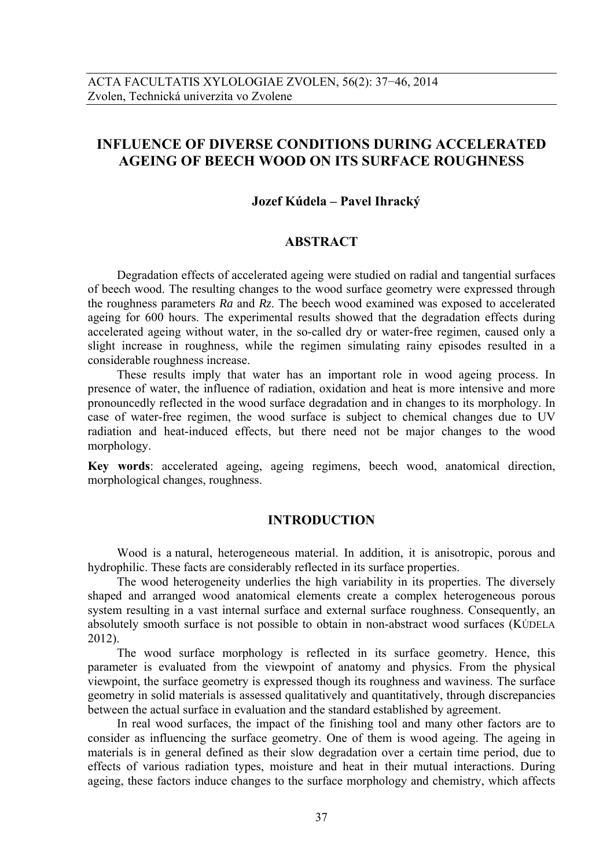# **INFLUENCE OF DIVERSE CONDITIONS DURING ACCELERATED AGEING OF BEECH WOOD ON ITS SURFACE ROUGHNESS**

# **Jozef Kúdela – Pavel Ihracký**

## **ABSTRACT**

Degradation effects of accelerated ageing were studied on radial and tangential surfaces of beech wood. The resulting changes to the wood surface geometry were expressed through the roughness parameters *Ra* and *Rz*. The beech wood examined was exposed to accelerated ageing for 600 hours. The experimental results showed that the degradation effects during accelerated ageing without water, in the so-called dry or water-free regimen, caused only a slight increase in roughness, while the regimen simulating rainy episodes resulted in a considerable roughness increase.

These results imply that water has an important role in wood ageing process. In presence of water, the influence of radiation, oxidation and heat is more intensive and more pronouncedly reflected in the wood surface degradation and in changes to its morphology. In case of water-free regimen, the wood surface is subject to chemical changes due to UV radiation and heat-induced effects, but there need not be major changes to the wood morphology.

**Key words**: accelerated ageing, ageing regimens, beech wood, anatomical direction, morphological changes, roughness.

## **INTRODUCTION**

Wood is a natural, heterogeneous material. In addition, it is anisotropic, porous and hydrophilic. These facts are considerably reflected in its surface properties.

The wood heterogeneity underlies the high variability in its properties. The diversely shaped and arranged wood anatomical elements create a complex heterogeneous porous system resulting in a vast internal surface and external surface roughness. Consequently, an absolutely smooth surface is not possible to obtain in non-abstract wood surfaces (KÚDELA 2012).

The wood surface morphology is reflected in its surface geometry. Hence, this parameter is evaluated from the viewpoint of anatomy and physics. From the physical viewpoint, the surface geometry is expressed though its roughness and waviness. The surface geometry in solid materials is assessed qualitatively and quantitatively, through discrepancies between the actual surface in evaluation and the standard established by agreement.

In real wood surfaces, the impact of the finishing tool and many other factors are to consider as influencing the surface geometry. One of them is wood ageing. The ageing in materials is in general defined as their slow degradation over a certain time period, due to effects of various radiation types, moisture and heat in their mutual interactions. During ageing, these factors induce changes to the surface morphology and chemistry, which affects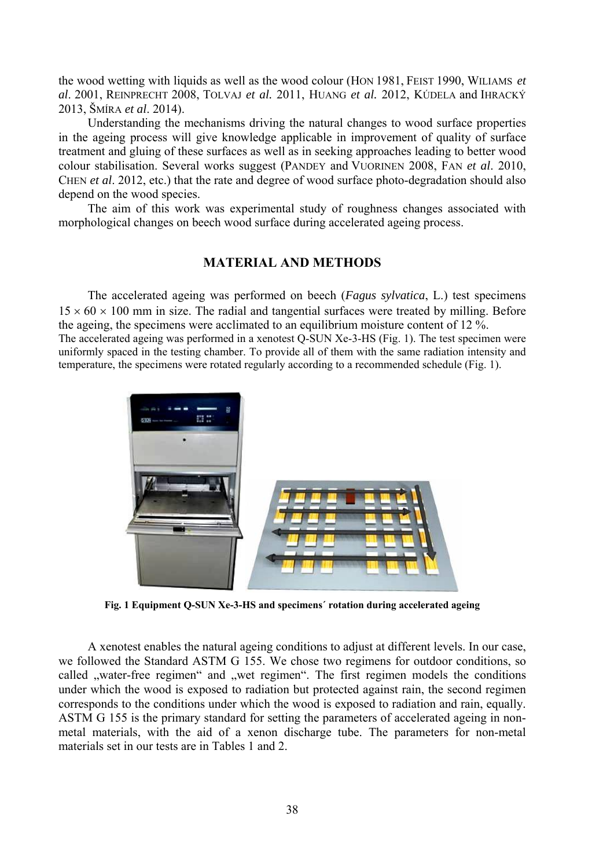the wood wetting with liquids as well as the wood colour (HON 1981, FEIST 1990, WILIAMS *et al*. 2001, REINPRECHT 2008, TOLVAJ *et al.* 2011, HUANG *et al.* 2012, KÚDELA and IHRACKÝ 2013, ŠMÍRA *et al*. 2014).

Understanding the mechanisms driving the natural changes to wood surface properties in the ageing process will give knowledge applicable in improvement of quality of surface treatment and gluing of these surfaces as well as in seeking approaches leading to better wood colour stabilisation. Several works suggest (PANDEY and VUORINEN 2008, FAN *et al*. 2010, CHEN *et al*. 2012, etc.) that the rate and degree of wood surface photo-degradation should also depend on the wood species.

The aim of this work was experimental study of roughness changes associated with morphological changes on beech wood surface during accelerated ageing process.

## **MATERIAL AND METHODS**

The accelerated ageing was performed on beech (*Fagus sylvatica*, L.) test specimens  $15 \times 60 \times 100$  mm in size. The radial and tangential surfaces were treated by milling. Before the ageing, the specimens were acclimated to an equilibrium moisture content of 12 %. The accelerated ageing was performed in a xenotest Q-SUN Xe-3-HS (Fig. 1). The test specimen were uniformly spaced in the testing chamber. To provide all of them with the same radiation intensity and temperature, the specimens were rotated regularly according to a recommended schedule (Fig. 1).



**Fig. 1 Equipment Q-SUN Xe-3-HS and specimens´ rotation during accelerated ageing** 

A xenotest enables the natural ageing conditions to adjust at different levels. In our case, we followed the Standard ASTM G 155. We chose two regimens for outdoor conditions, so called "water-free regimen" and "wet regimen". The first regimen models the conditions under which the wood is exposed to radiation but protected against rain, the second regimen corresponds to the conditions under which the wood is exposed to radiation and rain, equally. ASTM G 155 is the primary standard for setting the parameters of accelerated ageing in nonmetal materials, with the aid of a xenon discharge tube. The parameters for non-metal materials set in our tests are in Tables 1 and 2.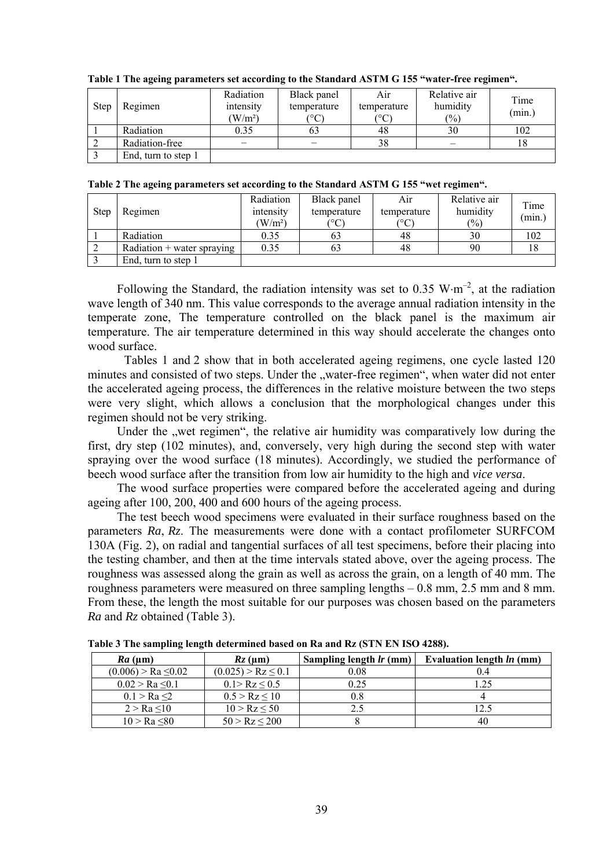| <b>Step</b> | Regimen             | Radiation<br>intensity<br>(W/m <sup>2</sup> ) | Black panel<br>temperature<br>(°C | Air<br>temperature<br>$^{\circ}$ C) | Relative air<br>humidity<br>$(\%)$ | Time<br>(min.) |
|-------------|---------------------|-----------------------------------------------|-----------------------------------|-------------------------------------|------------------------------------|----------------|
|             | Radiation           | 0.35                                          | 63                                | 48                                  | 30                                 | 102            |
|             | Radiation-free      |                                               |                                   | 38                                  |                                    |                |
|             | End, turn to step 1 |                                               |                                   |                                     |                                    |                |

**Table 1 The ageing parameters set according to the Standard ASTM G 155 "water-free regimen".** 

**Table 2 The ageing parameters set according to the Standard ASTM G 155 "wet regimen".** 

| <b>Step</b> | Regimen                      | Radiation<br>intensity<br>(W/m <sup>2</sup> ) | Black panel<br>temperature<br>$\rm ^{\circ}C$ | Air<br>temperature<br>(°C | Relative air<br>humidity<br>$(\%)$ | Time<br>(min.) |
|-------------|------------------------------|-----------------------------------------------|-----------------------------------------------|---------------------------|------------------------------------|----------------|
|             | Radiation                    | 0.35                                          | 63                                            | 48                        | 30                                 | 102            |
|             | $Radiation + water$ spraying | 0.35                                          | 63                                            | 48                        | 90                                 | 18             |
|             | End, turn to step 1          |                                               |                                               |                           |                                    |                |

Following the Standard, the radiation intensity was set to 0.35 W·m<sup>-2</sup>, at the radiation wave length of 340 nm. This value corresponds to the average annual radiation intensity in the temperate zone, The temperature controlled on the black panel is the maximum air temperature. The air temperature determined in this way should accelerate the changes onto wood surface.

 Tables 1 and 2 show that in both accelerated ageing regimens, one cycle lasted 120 minutes and consisted of two steps. Under the "water-free regimen", when water did not enter the accelerated ageing process, the differences in the relative moisture between the two steps were very slight, which allows a conclusion that the morphological changes under this regimen should not be very striking.

Under the "wet regimen", the relative air humidity was comparatively low during the first, dry step (102 minutes), and, conversely, very high during the second step with water spraying over the wood surface (18 minutes). Accordingly, we studied the performance of beech wood surface after the transition from low air humidity to the high and *vice versa*.

The wood surface properties were compared before the accelerated ageing and during ageing after 100, 200, 400 and 600 hours of the ageing process.

The test beech wood specimens were evaluated in their surface roughness based on the parameters *Ra*, *Rz*. The measurements were done with a contact profilometer SURFCOM 130A (Fig. 2), on radial and tangential surfaces of all test specimens, before their placing into the testing chamber, and then at the time intervals stated above, over the ageing process. The roughness was assessed along the grain as well as across the grain, on a length of 40 mm. The roughness parameters were measured on three sampling lengths – 0.8 mm, 2.5 mm and 8 mm. From these, the length the most suitable for our purposes was chosen based on the parameters *Ra* and *Rz* obtained (Table 3).

| $Ra$ (um)                | $Rz$ (um)             | Sampling length lr (mm) | Evaluation length ln (mm) |  |
|--------------------------|-----------------------|-------------------------|---------------------------|--|
| $(0.006) > Ra \leq 0.02$ | $(0.025) > R_Z < 0.1$ | 0.08                    | 04                        |  |
| $0.02 > Ra \leq 0.1$     | $0.1 > R_Z \leq 0.5$  | 0.25                    | .25                       |  |
| 0.1 > Ra < 2             | $0.5 > Rz \le 10$     |                         |                           |  |
| 2 > Ra < 10              | $10 > R_Z < 50$       |                         | 2.5                       |  |
| 10 > Ra < 80             | $50 > R_Z < 200$      |                         | 40                        |  |

**Table 3 The sampling length determined based on Ra and Rz (STN EN ISO 4288).**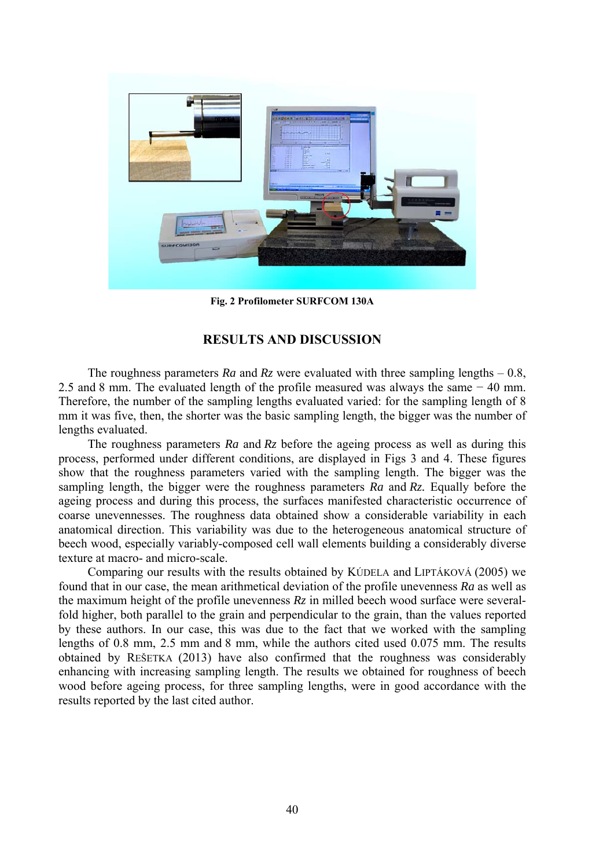

**Fig. 2 Profilometer SURFCOM 130A** 

# **RESULTS AND DISCUSSION**

The roughness parameters  $Ra$  and  $Rz$  were evaluated with three sampling lengths  $-0.8$ , 2.5 and 8 mm. The evaluated length of the profile measured was always the same − 40 mm. Therefore, the number of the sampling lengths evaluated varied: for the sampling length of 8 mm it was five, then, the shorter was the basic sampling length, the bigger was the number of lengths evaluated.

The roughness parameters *Ra* and *Rz* before the ageing process as well as during this process, performed under different conditions, are displayed in Figs 3 and 4. These figures show that the roughness parameters varied with the sampling length. The bigger was the sampling length, the bigger were the roughness parameters *Ra* and *Rz.* Equally before the ageing process and during this process, the surfaces manifested characteristic occurrence of coarse unevennesses. The roughness data obtained show a considerable variability in each anatomical direction. This variability was due to the heterogeneous anatomical structure of beech wood, especially variably-composed cell wall elements building a considerably diverse texture at macro- and micro-scale.

Comparing our results with the results obtained by KÚDELA and LIPTÁKOVÁ (2005) we found that in our case, the mean arithmetical deviation of the profile unevenness *Ra* as well as the maximum height of the profile unevenness *Rz* in milled beech wood surface were severalfold higher, both parallel to the grain and perpendicular to the grain, than the values reported by these authors. In our case, this was due to the fact that we worked with the sampling lengths of 0.8 mm, 2.5 mm and 8 mm, while the authors cited used 0.075 mm. The results obtained by REŠETKA (2013) have also confirmed that the roughness was considerably enhancing with increasing sampling length. The results we obtained for roughness of beech wood before ageing process, for three sampling lengths, were in good accordance with the results reported by the last cited author.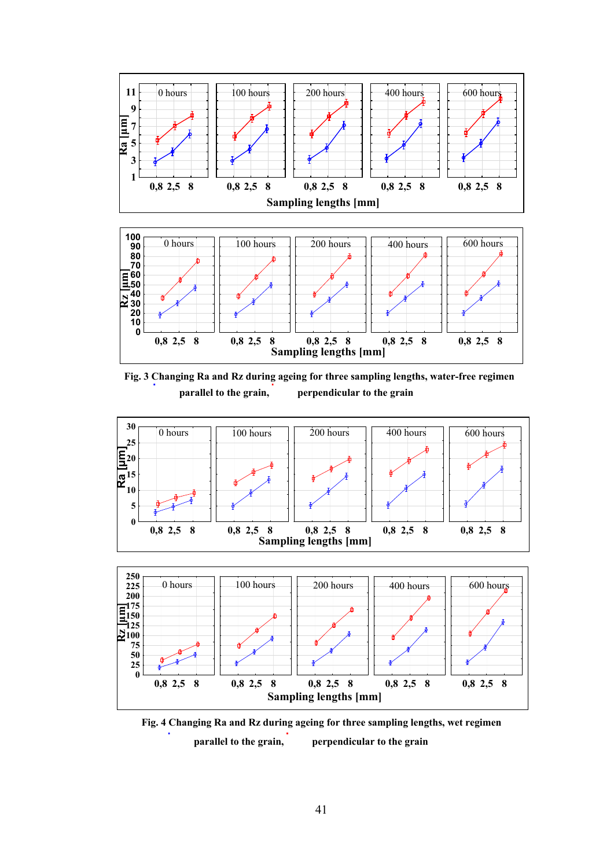

**Fig. 3 Changing Ra and Rz during ageing for three sampling lengths, water-free regimen parallel to the grain, perpendicular to the grain** 





**Fig. 4 Changing Ra and Rz during ageing for three sampling lengths, wet regimen parallel to the grain, perpendicular to the grain**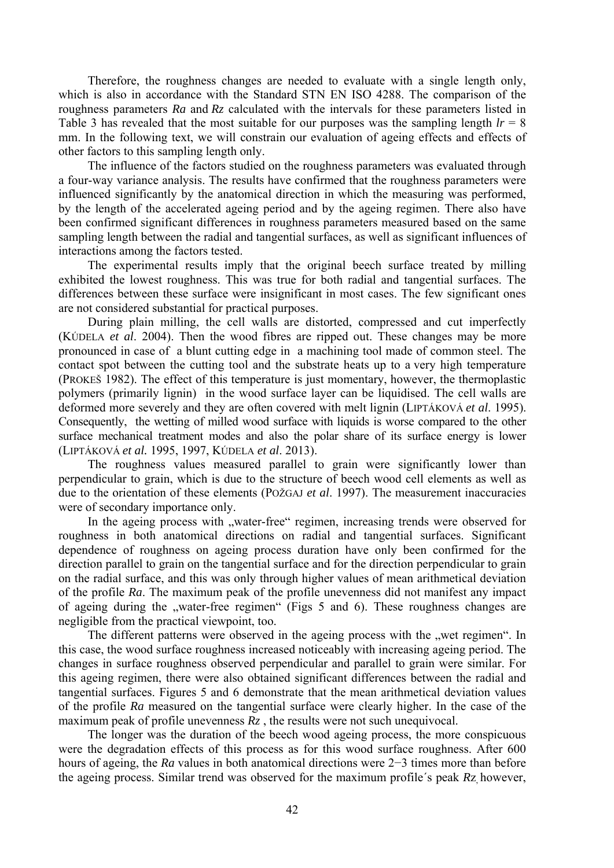Therefore, the roughness changes are needed to evaluate with a single length only, which is also in accordance with the Standard STN EN ISO 4288. The comparison of the roughness parameters *Ra* and *Rz* calculated with the intervals for these parameters listed in Table 3 has revealed that the most suitable for our purposes was the sampling length  $l = 8$ mm. In the following text, we will constrain our evaluation of ageing effects and effects of other factors to this sampling length only.

The influence of the factors studied on the roughness parameters was evaluated through a four-way variance analysis. The results have confirmed that the roughness parameters were influenced significantly by the anatomical direction in which the measuring was performed, by the length of the accelerated ageing period and by the ageing regimen. There also have been confirmed significant differences in roughness parameters measured based on the same sampling length between the radial and tangential surfaces, as well as significant influences of interactions among the factors tested.

The experimental results imply that the original beech surface treated by milling exhibited the lowest roughness. This was true for both radial and tangential surfaces. The differences between these surface were insignificant in most cases. The few significant ones are not considered substantial for practical purposes.

During plain milling, the cell walls are distorted, compressed and cut imperfectly (KÚDELA *et al*. 2004). Then the wood fibres are ripped out. These changes may be more pronounced in case of a blunt cutting edge in a machining tool made of common steel. The contact spot between the cutting tool and the substrate heats up to a very high temperature (PROKEŠ 1982). The effect of this temperature is just momentary, however, the thermoplastic polymers (primarily lignin) in the wood surface layer can be liquidised. The cell walls are deformed more severely and they are often covered with melt lignin (LIPTÁKOVÁ *et al*. 1995). Consequently, the wetting of milled wood surface with liquids is worse compared to the other surface mechanical treatment modes and also the polar share of its surface energy is lower (LIPTÁKOVÁ *et al.* 1995, 1997, KÚDELA *et al*. 2013).

The roughness values measured parallel to grain were significantly lower than perpendicular to grain, which is due to the structure of beech wood cell elements as well as due to the orientation of these elements (POŽGAJ *et al*. 1997). The measurement inaccuracies were of secondary importance only.

In the ageing process with "water-free" regimen, increasing trends were observed for roughness in both anatomical directions on radial and tangential surfaces. Significant dependence of roughness on ageing process duration have only been confirmed for the direction parallel to grain on the tangential surface and for the direction perpendicular to grain on the radial surface, and this was only through higher values of mean arithmetical deviation of the profile *Ra*. The maximum peak of the profile unevenness did not manifest any impact of ageing during the "water-free regimen" (Figs 5 and 6). These roughness changes are negligible from the practical viewpoint, too.

The different patterns were observed in the ageing process with the "wet regimen". In this case, the wood surface roughness increased noticeably with increasing ageing period. The changes in surface roughness observed perpendicular and parallel to grain were similar. For this ageing regimen, there were also obtained significant differences between the radial and tangential surfaces. Figures 5 and 6 demonstrate that the mean arithmetical deviation values of the profile *Ra* measured on the tangential surface were clearly higher. In the case of the maximum peak of profile unevenness  $R_z$ , the results were not such unequivocal.

The longer was the duration of the beech wood ageing process, the more conspicuous were the degradation effects of this process as for this wood surface roughness. After 600 hours of ageing, the *Ra* values in both anatomical directions were 2−3 times more than before the ageing process. Similar trend was observed for the maximum profile´s peak *R*z, however,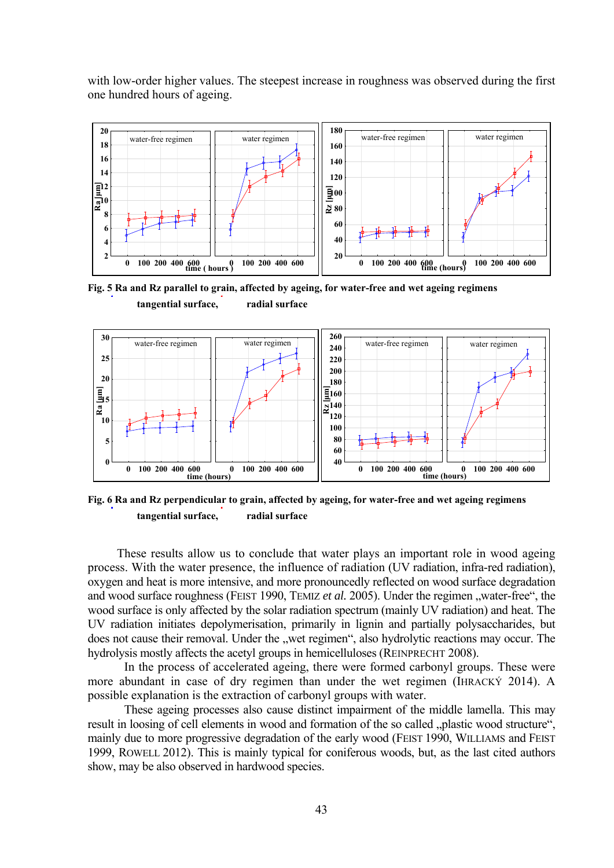with low-order higher values. The steepest increase in roughness was observed during the first one hundred hours of ageing.



**Fig. 5 Ra and Rz parallel to grain, affected by ageing, for water-free and wet ageing regimens tangential surface, radial surface**



**Fig. 6 Ra and Rz perpendicular to grain, affected by ageing, for water-free and wet ageing regimens tangential surface, radial surface** 

These results allow us to conclude that water plays an important role in wood ageing process. With the water presence, the influence of radiation (UV radiation, infra-red radiation), oxygen and heat is more intensive, and more pronouncedly reflected on wood surface degradation and wood surface roughness (FEIST 1990, TEMIZ *et al.* 2005). Under the regimen "water-free", the wood surface is only affected by the solar radiation spectrum (mainly UV radiation) and heat. The UV radiation initiates depolymerisation, primarily in lignin and partially polysaccharides, but does not cause their removal. Under the "wet regimen", also hydrolytic reactions may occur. The hydrolysis mostly affects the acetyl groups in hemicelluloses (REINPRECHT 2008).

In the process of accelerated ageing, there were formed carbonyl groups. These were more abundant in case of dry regimen than under the wet regimen (IHRACKÝ 2014). A possible explanation is the extraction of carbonyl groups with water.

These ageing processes also cause distinct impairment of the middle lamella. This may result in loosing of cell elements in wood and formation of the so called "plastic wood structure", mainly due to more progressive degradation of the early wood (FEIST 1990, WILLIAMS and FEIST 1999, ROWELL 2012). This is mainly typical for coniferous woods, but, as the last cited authors show, may be also observed in hardwood species.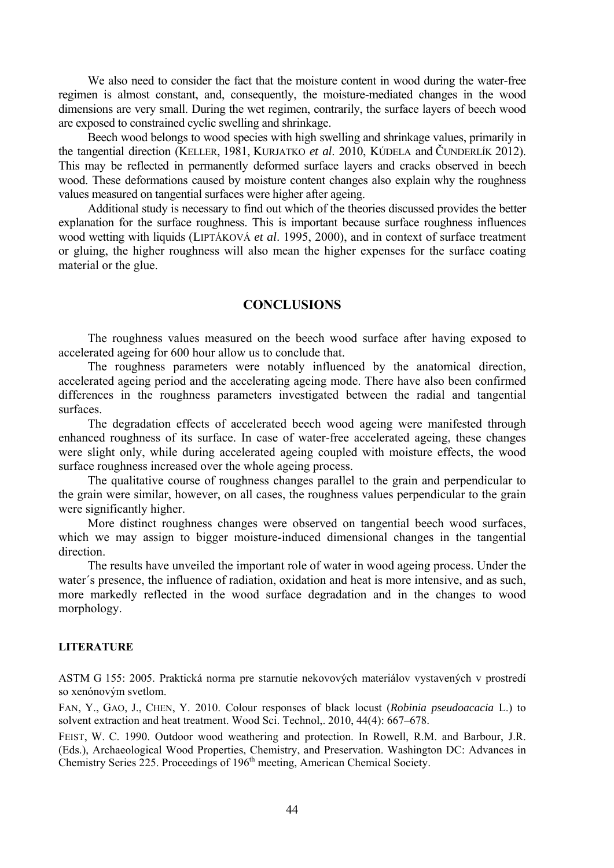We also need to consider the fact that the moisture content in wood during the water-free regimen is almost constant, and, consequently, the moisture-mediated changes in the wood dimensions are very small. During the wet regimen, contrarily, the surface layers of beech wood are exposed to constrained cyclic swelling and shrinkage.

Beech wood belongs to wood species with high swelling and shrinkage values, primarily in the tangential direction (KELLER, 1981, KURJATKO *et al*. 2010, KÚDELA and ČUNDERLÍK 2012). This may be reflected in permanently deformed surface layers and cracks observed in beech wood. These deformations caused by moisture content changes also explain why the roughness values measured on tangential surfaces were higher after ageing.

Additional study is necessary to find out which of the theories discussed provides the better explanation for the surface roughness. This is important because surface roughness influences wood wetting with liquids (LIPTÁKOVÁ *et al*. 1995, 2000), and in context of surface treatment or gluing, the higher roughness will also mean the higher expenses for the surface coating material or the glue.

# **CONCLUSIONS**

The roughness values measured on the beech wood surface after having exposed to accelerated ageing for 600 hour allow us to conclude that.

The roughness parameters were notably influenced by the anatomical direction, accelerated ageing period and the accelerating ageing mode. There have also been confirmed differences in the roughness parameters investigated between the radial and tangential surfaces.

The degradation effects of accelerated beech wood ageing were manifested through enhanced roughness of its surface. In case of water-free accelerated ageing, these changes were slight only, while during accelerated ageing coupled with moisture effects, the wood surface roughness increased over the whole ageing process.

The qualitative course of roughness changes parallel to the grain and perpendicular to the grain were similar, however, on all cases, the roughness values perpendicular to the grain were significantly higher.

More distinct roughness changes were observed on tangential beech wood surfaces, which we may assign to bigger moisture-induced dimensional changes in the tangential direction.

The results have unveiled the important role of water in wood ageing process. Under the water´s presence, the influence of radiation, oxidation and heat is more intensive, and as such, more markedly reflected in the wood surface degradation and in the changes to wood morphology.

#### **LITERATURE**

ASTM G 155: 2005. Praktická norma pre starnutie nekovových materiálov vystavených v prostredí so xenónovým svetlom.

FAN, Y., GAO, J., CHEN, Y. 2010. Colour responses of black locust (*Robinia pseudoacacia* L.) to solvent extraction and heat treatment. Wood Sci. Technol,. 2010, 44(4): 667–678.

FEIST, W. C. 1990. Outdoor wood weathering and protection. In Rowell, R.M. and Barbour, J.R. (Eds.), Archaeological Wood Properties, Chemistry, and Preservation. Washington DC: Advances in Chemistry Series 225. Proceedings of 196<sup>th</sup> meeting, American Chemical Society.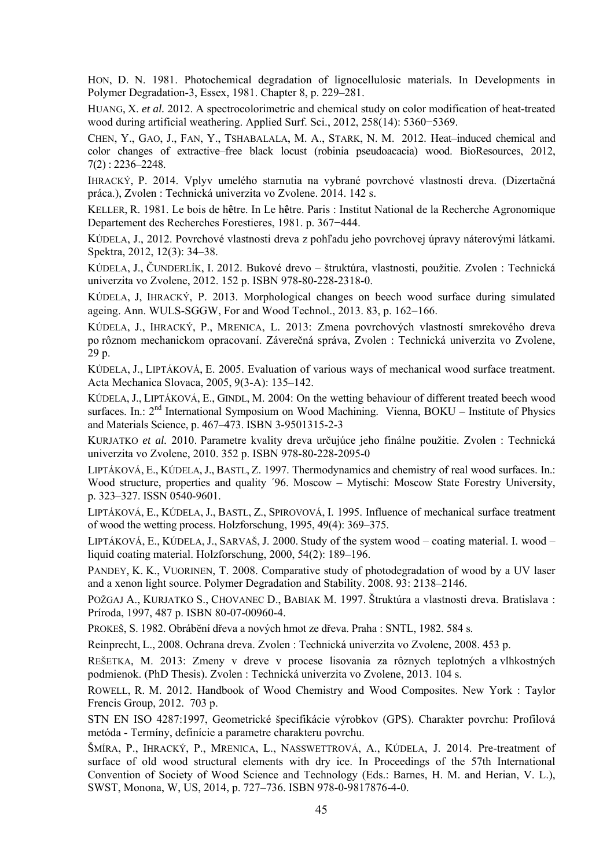HON, D. N. 1981. Photochemical degradation of lignocellulosic materials. In Developments in Polymer Degradation-3, Essex, 1981. Chapter 8, p. 229–281.

HUANG, X. *et al.* 2012. A spectrocolorimetric and chemical study on color modification of heat-treated wood during artificial weathering. Applied Surf. Sci., 2012, 258(14): 5360−5369.

CHEN, Y., GAO, J., FAN, Y., TSHABALALA, M. A., STARK, N. M. 2012. Heat–induced chemical and color changes of extractive–free black locust (robinia pseudoacacia) wood. BioResources, 2012, 7(2) : 2236–2248.

IHRACKÝ, P. 2014. Vplyv umelého starnutia na vybrané povrchové vlastnosti dreva. (Dizertačná práca.), Zvolen : Technická univerzita vo Zvolene. 2014. 142 s.

KELLER, R. 1981. Le bois de h**ê**tre. In Le h**ê**tre. Paris : Institut National de la Recherche Agronomique Departement des Recherches Forestieres, 1981. p. 367−444.

KÚDELA, J., 2012. Povrchové vlastnosti dreva z pohľadu jeho povrchovej úpravy náterovými látkami. Spektra, 2012, 12(3): 34–38.

KÚDELA, J., ČUNDERLÍK, I. 2012. Bukové drevo – štruktúra, vlastnosti, použitie. Zvolen : Technická univerzita vo Zvolene, 2012. 152 p. ISBN 978-80-228-2318-0.

KÚDELA, J, IHRACKÝ, P. 2013. Morphological changes on beech wood surface during simulated ageing. Ann. WULS-SGGW, For and Wood Technol.,  $2013$ ,  $83$ , p.  $162-166$ .

KÚDELA, J., IHRACKÝ, P., MRENICA, L. 2013: Zmena povrchových vlastností smrekového dreva po rôznom mechanickom opracovaní. Záverečná správa, Zvolen : Technická univerzita vo Zvolene, 29 p.

KÚDELA, J., LIPTÁKOVÁ, E. 2005. Evaluation of various ways of mechanical wood surface treatment. Acta Mechanica Slovaca, 2005, 9(3-A): 135–142.

KÚDELA, J., LIPTÁKOVÁ, E., GINDL, M. 2004: On the wetting behaviour of different treated beech wood surfaces. In.:  $2<sup>nd</sup>$  International Symposium on Wood Machining. Vienna, BOKU – Institute of Physics and Materials Science, p. 467–473. ISBN 3-9501315-2-3

KURJATKO *et al.* 2010. Parametre kvality dreva určujúce jeho finálne použitie. Zvolen : Technická univerzita vo Zvolene, 2010. 352 p. ISBN 978-80-228-2095-0

LIPTÁKOVÁ, E., KÚDELA, J., BASTL, Z. 1997. Thermodynamics and chemistry of real wood surfaces. In.: Wood structure, properties and quality ´96. Moscow – Mytischi: Moscow State Forestry University, p. 323–327. ISSN 0540-9601.

LIPTÁKOVÁ, E., KÚDELA, J., BASTL, Z., SPIROVOVÁ, I. 1995. Influence of mechanical surface treatment of wood the wetting process. Holzforschung, 1995, 49(4): 369–375.

LIPTÁKOVÁ, E., KÚDELA, J., SARVAŠ, J. 2000. Study of the system wood – coating material. I. wood – liquid coating material. Holzforschung, 2000, 54(2): 189–196.

PANDEY, K. K., VUORINEN, T. 2008. Comparative study of photodegradation of wood by a UV laser and a xenon light source. Polymer Degradation and Stability. 2008. 93: 2138–2146.

POŽGAJ A., KURJATKO S., CHOVANEC D., BABIAK M. 1997. Štruktúra a vlastnosti dreva. Bratislava : Príroda, 1997, 487 p. ISBN 80-07-00960-4.

PROKEŠ, S. 1982. Obrábĕní dřeva a nových hmot ze dřeva. Praha : SNTL, 1982. 584 s.

Reinprecht, L., 2008. Ochrana dreva. Zvolen : Technická univerzita vo Zvolene, 2008. 453 p.

REŠETKA, M. 2013: Zmeny v dreve v procese lisovania za rôznych teplotných a vlhkostných podmienok. (PhD Thesis). Zvolen : Technická univerzita vo Zvolene, 2013. 104 s.

ROWELL, R. M. 2012. Handbook of Wood Chemistry and Wood Composites. New York : Taylor Frencis Group, 2012. 703 p.

STN EN ISO 4287:1997, Geometrické špecifikácie výrobkov (GPS). Charakter povrchu: Profilová metóda - Termíny, definície a parametre charakteru povrchu.

ŠMÍRA, P., IHRACKÝ, P., MRENICA, L., NASSWETTROVÁ, A., KÚDELA, J. 2014. Pre-treatment of surface of old wood structural elements with dry ice. In Proceedings of the 57th International Convention of Society of Wood Science and Technology (Eds.: Barnes, H. M. and Herian, V. L.), SWST, Monona, W, US, 2014, p. 727–736. ISBN 978-0-9817876-4-0.